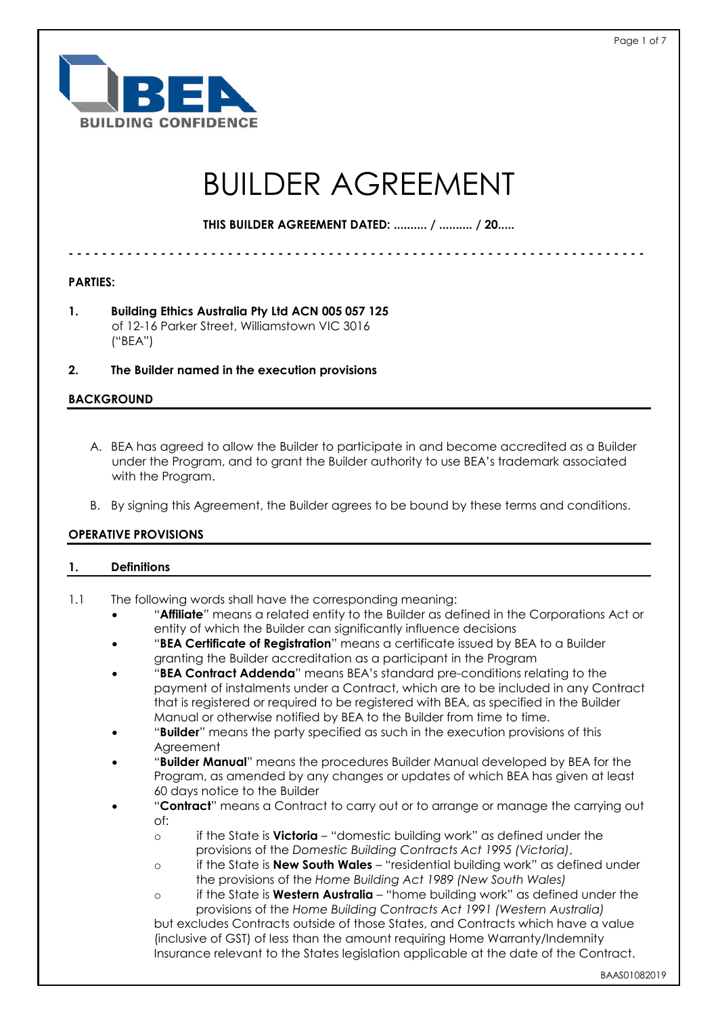

# BUILDER AGREEMENT

**THIS BUILDER AGREEMENT DATED: .......... / .......... / 20.....**

**- - - - - - - - - - - - - - - - - - - - - - - - - - - - - - - - - - - - - - - - - - - - - - - - - - - - - - - - - - - - - - - - - - - - -**

**PARTIES:**

**1. Building Ethics Australia Pty Ltd ACN 005 057 125** of 12-16 Parker Street, Williamstown VIC 3016 ("BEA")

**2. The Builder named in the execution provisions**

## **BACKGROUND**

- A. BEA has agreed to allow the Builder to participate in and become accredited as a Builder under the Program, and to grant the Builder authority to use BEA's trademark associated with the Program.
- B. By signing this Agreement, the Builder agrees to be bound by these terms and conditions.

### **OPERATIVE PROVISIONS**

### **1. Definitions**

- 1.1 The following words shall have the corresponding meaning:
	- "**Affiliate**" means a related entity to the Builder as defined in the Corporations Act or entity of which the Builder can significantly influence decisions
	- "**BEA Certificate of Registration**" means a certificate issued by BEA to a Builder granting the Builder accreditation as a participant in the Program
	- "**BEA Contract Addenda**" means BEA's standard pre-conditions relating to the payment of instalments under a Contract, which are to be included in any Contract that is registered or required to be registered with BEA, as specified in the Builder Manual or otherwise notified by BEA to the Builder from time to time.
	- "**Builder**" means the party specified as such in the execution provisions of this **Agreement**
	- "**Builder Manual**" means the procedures Builder Manual developed by BEA for the Program, as amended by any changes or updates of which BEA has given at least 60 days notice to the Builder
	- "**Contract**" means a Contract to carry out or to arrange or manage the carrying out of:
		- o if the State is **Victoria** "domestic building work" as defined under the provisions of the *Domestic Building Contracts Act 1995 (Victoria)*,
		- o if the State is **New South Wales** "residential building work" as defined under the provisions of the *Home Building Act 1989 (New South Wales)*

o if the State is **Western Australia** – "home building work" as defined under the provisions of the *Home Building Contracts Act 1991 (Western Australia)* but excludes Contracts outside of those States, and Contracts which have a value (inclusive of GST) of less than the amount requiring Home Warranty/Indemnity Insurance relevant to the States legislation applicable at the date of the Contract.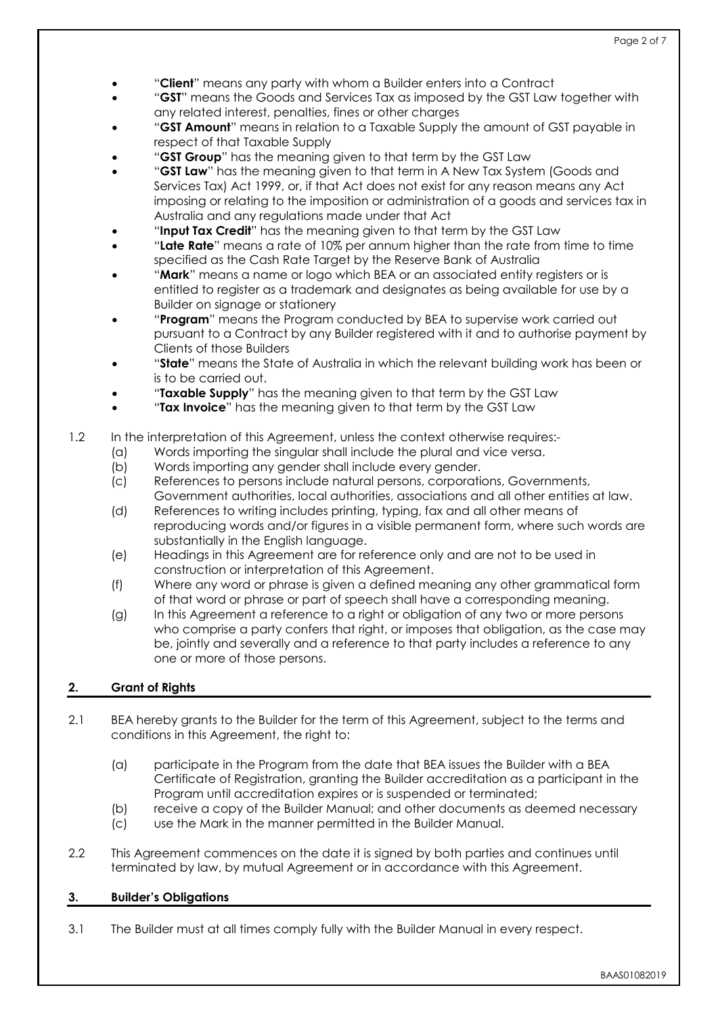- "**Client**" means any party with whom a Builder enters into a Contract
- "**GST**" means the Goods and Services Tax as imposed by the GST Law together with any related interest, penalties, fines or other charges
- "**GST Amount**" means in relation to a Taxable Supply the amount of GST payable in respect of that Taxable Supply
- "**GST Group**" has the meaning given to that term by the GST Law
- "**GST Law**" has the meaning given to that term in A New Tax System (Goods and Services Tax) Act 1999, or, if that Act does not exist for any reason means any Act imposing or relating to the imposition or administration of a goods and services tax in Australia and any regulations made under that Act
- "**Input Tax Credit**" has the meaning given to that term by the GST Law
- "**Late Rate**" means a rate of 10% per annum higher than the rate from time to time specified as the Cash Rate Target by the Reserve Bank of Australia
- "**Mark**" means a name or logo which BEA or an associated entity registers or is entitled to register as a trademark and designates as being available for use by a Builder on signage or stationery
- "**Program**" means the Program conducted by BEA to supervise work carried out pursuant to a Contract by any Builder registered with it and to authorise payment by Clients of those Builders
- "**State**" means the State of Australia in which the relevant building work has been or is to be carried out.
- "**Taxable Supply**" has the meaning given to that term by the GST Law
- "**Tax Invoice**" has the meaning given to that term by the GST Law

# 1.2 In the interpretation of this Agreement, unless the context otherwise requires:-

- (a) Words importing the singular shall include the plural and vice versa.
- (b) Words importing any gender shall include every gender.
- (c) References to persons include natural persons, corporations, Governments, Government authorities, local authorities, associations and all other entities at law.
- (d) References to writing includes printing, typing, fax and all other means of reproducing words and/or figures in a visible permanent form, where such words are substantially in the English language.
- (e) Headings in this Agreement are for reference only and are not to be used in construction or interpretation of this Agreement.
- (f) Where any word or phrase is given a defined meaning any other grammatical form of that word or phrase or part of speech shall have a corresponding meaning.
- (g) In this Agreement a reference to a right or obligation of any two or more persons who comprise a party confers that right, or imposes that obligation, as the case may be, jointly and severally and a reference to that party includes a reference to any one or more of those persons.

## **2. Grant of Rights**

- 2.1 BEA hereby grants to the Builder for the term of this Agreement, subject to the terms and conditions in this Agreement, the right to:
	- (a) participate in the Program from the date that BEA issues the Builder with a BEA Certificate of Registration, granting the Builder accreditation as a participant in the Program until accreditation expires or is suspended or terminated;
	- (b) receive a copy of the Builder Manual; and other documents as deemed necessary
	- (c) use the Mark in the manner permitted in the Builder Manual.
- 2.2 This Agreement commences on the date it is signed by both parties and continues until terminated by law, by mutual Agreement or in accordance with this Agreement.

# **3. Builder's Obligations**

3.1 The Builder must at all times comply fully with the Builder Manual in every respect.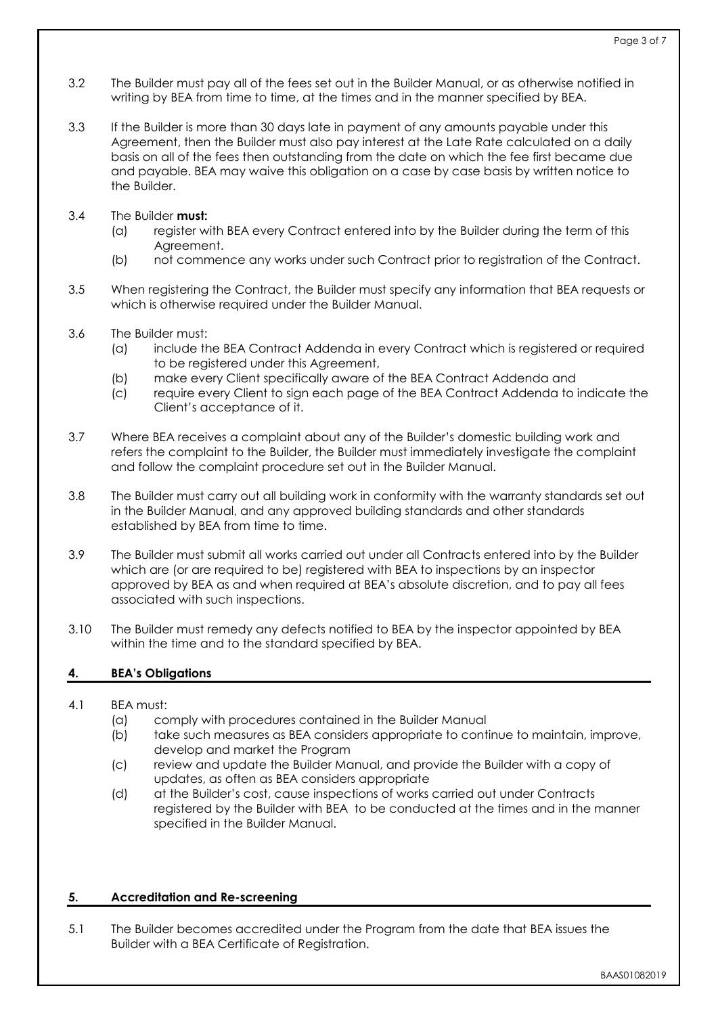- 3.2 The Builder must pay all of the fees set out in the Builder Manual, or as otherwise notified in writing by BEA from time to time, at the times and in the manner specified by BEA.
- 3.3 If the Builder is more than 30 days late in payment of any amounts payable under this Agreement, then the Builder must also pay interest at the Late Rate calculated on a daily basis on all of the fees then outstanding from the date on which the fee first became due and payable. BEA may waive this obligation on a case by case basis by written notice to the Builder.

## 3.4 The Builder **must:**

- (a) register with BEA every Contract entered into by the Builder during the term of this Agreement.
- (b) not commence any works under such Contract prior to registration of the Contract.
- 3.5 When registering the Contract, the Builder must specify any information that BEA requests or which is otherwise required under the Builder Manual.
- 3.6 The Builder must:
	- (a) include the BEA Contract Addenda in every Contract which is registered or required to be registered under this Agreement,
	- (b) make every Client specifically aware of the BEA Contract Addenda and
	- (c) require every Client to sign each page of the BEA Contract Addenda to indicate the Client's acceptance of it.
- 3.7 Where BEA receives a complaint about any of the Builder's domestic building work and refers the complaint to the Builder, the Builder must immediately investigate the complaint and follow the complaint procedure set out in the Builder Manual.
- 3.8 The Builder must carry out all building work in conformity with the warranty standards set out in the Builder Manual, and any approved building standards and other standards established by BFA from time to time.
- 3.9 The Builder must submit all works carried out under all Contracts entered into by the Builder which are (or are required to be) registered with BEA to inspections by an inspector approved by BEA as and when required at BEA's absolute discretion, and to pay all fees associated with such inspections.
- 3.10 The Builder must remedy any defects notified to BEA by the inspector appointed by BEA within the time and to the standard specified by BEA.

## **4. BEA's Obligations**

- 4.1 BEA must:
	- (a) comply with procedures contained in the Builder Manual
	- (b) take such measures as BEA considers appropriate to continue to maintain, improve, develop and market the Program
	- (c) review and update the Builder Manual, and provide the Builder with a copy of updates, as often as BEA considers appropriate
	- (d) at the Builder's cost, cause inspections of works carried out under Contracts registered by the Builder with BEA to be conducted at the times and in the manner specified in the Builder Manual.

## **5. Accreditation and Re-screening**

5.1 The Builder becomes accredited under the Program from the date that BEA issues the Builder with a BEA Certificate of Registration.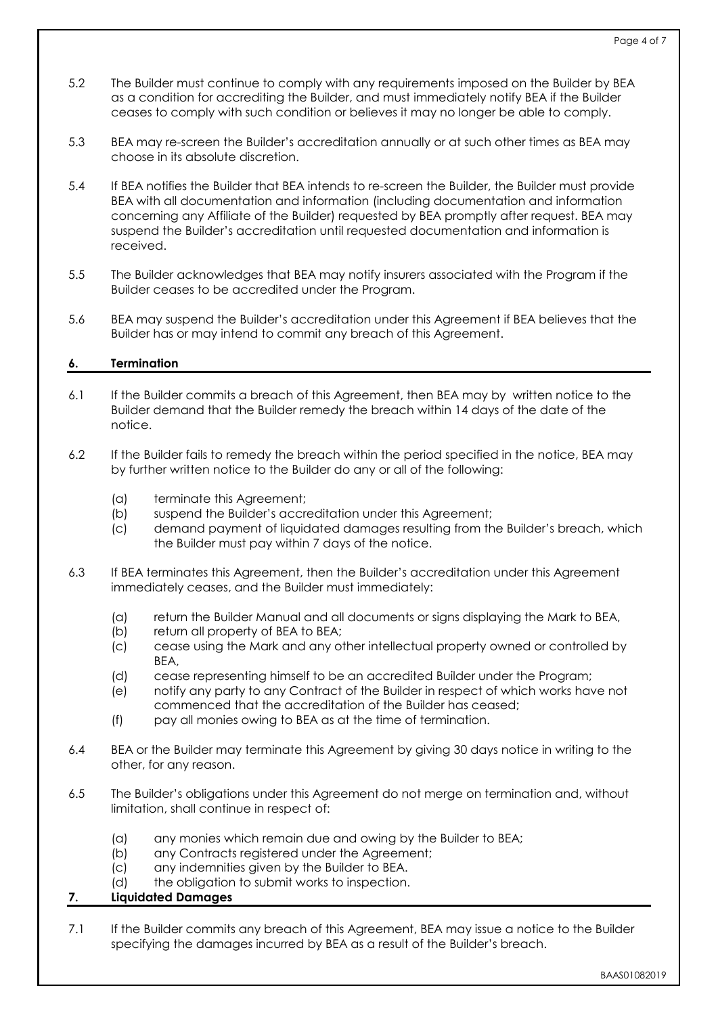- 5.2 The Builder must continue to comply with any requirements imposed on the Builder by BEA as a condition for accrediting the Builder, and must immediately notify BEA if the Builder ceases to comply with such condition or believes it may no longer be able to comply.
- 5.3 BEA may re-screen the Builder's accreditation annually or at such other times as BEA may choose in its absolute discretion.
- 5.4 If BEA notifies the Builder that BEA intends to re-screen the Builder, the Builder must provide BEA with all documentation and information (including documentation and information concerning any Affiliate of the Builder) requested by BEA promptly after request. BEA may suspend the Builder's accreditation until requested documentation and information is received.
- 5.5 The Builder acknowledges that BEA may notify insurers associated with the Program if the Builder ceases to be accredited under the Program.
- 5.6 BEA may suspend the Builder's accreditation under this Agreement if BEA believes that the Builder has or may intend to commit any breach of this Agreement.

# **6. Termination**

- 6.1 If the Builder commits a breach of this Agreement, then BEA may by written notice to the Builder demand that the Builder remedy the breach within 14 days of the date of the notice.
- 6.2 If the Builder fails to remedy the breach within the period specified in the notice, BEA may by further written notice to the Builder do any or all of the following:
	- (a) terminate this Agreement;
	- (b) suspend the Builder's accreditation under this Agreement;
	- (c) demand payment of liquidated damages resulting from the Builder's breach, which the Builder must pay within 7 days of the notice.
- 6.3 If BEA terminates this Agreement, then the Builder's accreditation under this Agreement immediately ceases, and the Builder must immediately:
	- (a) return the Builder Manual and all documents or signs displaying the Mark to BEA,
	- (b) return all property of BEA to BEA;
	- (c) cease using the Mark and any other intellectual property owned or controlled by BEA,
	- (d) cease representing himself to be an accredited Builder under the Program;
	- (e) notify any party to any Contract of the Builder in respect of which works have not commenced that the accreditation of the Builder has ceased;
	- (f) pay all monies owing to BEA as at the time of termination.
- 6.4 BEA or the Builder may terminate this Agreement by giving 30 days notice in writing to the other, for any reason.
- 6.5 The Builder's obligations under this Agreement do not merge on termination and, without limitation, shall continue in respect of:
	- (a) any monies which remain due and owing by the Builder to BEA;
	- (b) any Contracts registered under the Agreement;
	- (c) any indemnities given by the Builder to BEA.
	- (d) the obligation to submit works to inspection.

## **7. Liquidated Damages**

7.1 If the Builder commits any breach of this Agreement, BEA may issue a notice to the Builder specifying the damages incurred by BEA as a result of the Builder's breach.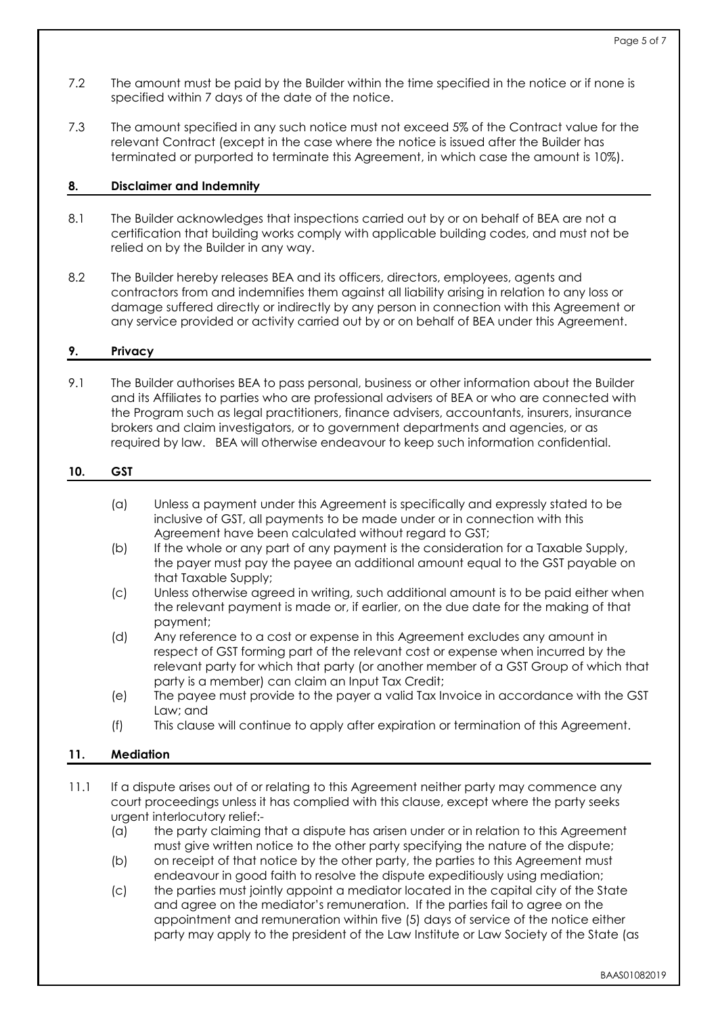- 7.2 The amount must be paid by the Builder within the time specified in the notice or if none is specified within 7 days of the date of the notice.
- 7.3 The amount specified in any such notice must not exceed 5% of the Contract value for the relevant Contract (except in the case where the notice is issued after the Builder has terminated or purported to terminate this Agreement, in which case the amount is 10%).

## **8. Disclaimer and Indemnity**

- 8.1 The Builder acknowledges that inspections carried out by or on behalf of BEA are not a certification that building works comply with applicable building codes, and must not be relied on by the Builder in any way.
- 8.2 The Builder hereby releases BEA and its officers, directors, employees, agents and contractors from and indemnifies them against all liability arising in relation to any loss or damage suffered directly or indirectly by any person in connection with this Agreement or any service provided or activity carried out by or on behalf of BEA under this Agreement.

## **9. Privacy**

9.1 The Builder authorises BEA to pass personal, business or other information about the Builder and its Affiliates to parties who are professional advisers of BEA or who are connected with the Program such as legal practitioners, finance advisers, accountants, insurers, insurance brokers and claim investigators, or to government departments and agencies, or as required by law. BEA will otherwise endeavour to keep such information confidential.

## **10. GST**

- (a) Unless a payment under this Agreement is specifically and expressly stated to be inclusive of GST, all payments to be made under or in connection with this Agreement have been calculated without regard to GST;
- (b) If the whole or any part of any payment is the consideration for a Taxable Supply, the payer must pay the payee an additional amount equal to the GST payable on that Taxable Supply;
- (c) Unless otherwise agreed in writing, such additional amount is to be paid either when the relevant payment is made or, if earlier, on the due date for the making of that payment;
- (d) Any reference to a cost or expense in this Agreement excludes any amount in respect of GST forming part of the relevant cost or expense when incurred by the relevant party for which that party (or another member of a GST Group of which that party is a member) can claim an Input Tax Credit;
- (e) The payee must provide to the payer a valid Tax Invoice in accordance with the GST Law; and
- (f) This clause will continue to apply after expiration or termination of this Agreement.

## **11. Mediation**

- 11.1 If a dispute arises out of or relating to this Agreement neither party may commence any court proceedings unless it has complied with this clause, except where the party seeks urgent interlocutory relief:-
	- (a) the party claiming that a dispute has arisen under or in relation to this Agreement must give written notice to the other party specifying the nature of the dispute;
	- (b) on receipt of that notice by the other party, the parties to this Agreement must endeavour in good faith to resolve the dispute expeditiously using mediation;
	- (c) the parties must jointly appoint a mediator located in the capital city of the State and agree on the mediator's remuneration. If the parties fail to agree on the appointment and remuneration within five (5) days of service of the notice either party may apply to the president of the Law Institute or Law Society of the State (as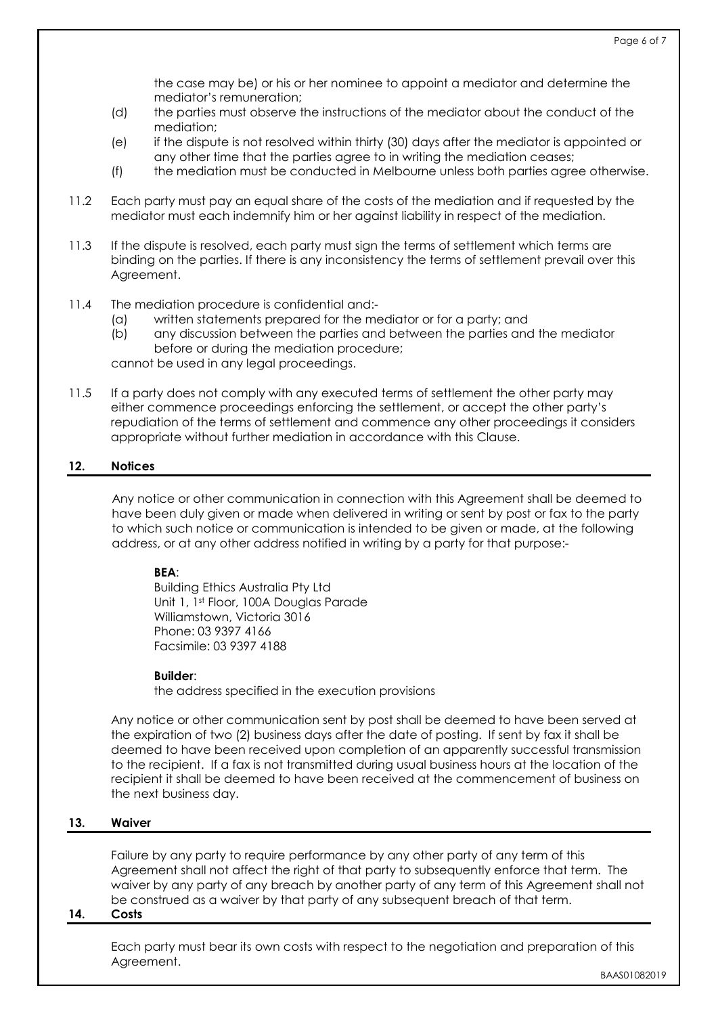the case may be) or his or her nominee to appoint a mediator and determine the mediator's remuneration;

- (d) the parties must observe the instructions of the mediator about the conduct of the mediation;
- (e) if the dispute is not resolved within thirty (30) days after the mediator is appointed or any other time that the parties agree to in writing the mediation ceases;
- (f) the mediation must be conducted in Melbourne unless both parties agree otherwise.
- 11.2 Each party must pay an equal share of the costs of the mediation and if requested by the mediator must each indemnify him or her against liability in respect of the mediation.
- 11.3 If the dispute is resolved, each party must sign the terms of settlement which terms are binding on the parties. If there is any inconsistency the terms of settlement prevail over this Agreement.
- 11.4 The mediation procedure is confidential and:-
	- (a) written statements prepared for the mediator or for a party; and
	- (b) any discussion between the parties and between the parties and the mediator before or during the mediation procedure;

cannot be used in any legal proceedings.

11.5 If a party does not comply with any executed terms of settlement the other party may either commence proceedings enforcing the settlement, or accept the other party's repudiation of the terms of settlement and commence any other proceedings it considers appropriate without further mediation in accordance with this Clause.

## **12. Notices**

Any notice or other communication in connection with this Agreement shall be deemed to have been duly given or made when delivered in writing or sent by post or fax to the party to which such notice or communication is intended to be given or made, at the following address, or at any other address notified in writing by a party for that purpose:-

### **BEA**:

Building Ethics Australia Pty Ltd Unit 1, 1st Floor, 100A Douglas Parade Williamstown, Victoria 3016 Phone: 03 9397 4166 Facsimile: 03 9397 4188

### **Builder**:

the address specified in the execution provisions

Any notice or other communication sent by post shall be deemed to have been served at the expiration of two (2) business days after the date of posting. If sent by fax it shall be deemed to have been received upon completion of an apparently successful transmission to the recipient. If a fax is not transmitted during usual business hours at the location of the recipient it shall be deemed to have been received at the commencement of business on the next business day.

### **13. Waiver**

Failure by any party to require performance by any other party of any term of this Agreement shall not affect the right of that party to subsequently enforce that term. The waiver by any party of any breach by another party of any term of this Agreement shall not be construed as a waiver by that party of any subsequent breach of that term.

### **14. Costs**

Each party must bear its own costs with respect to the negotiation and preparation of this Agreement.